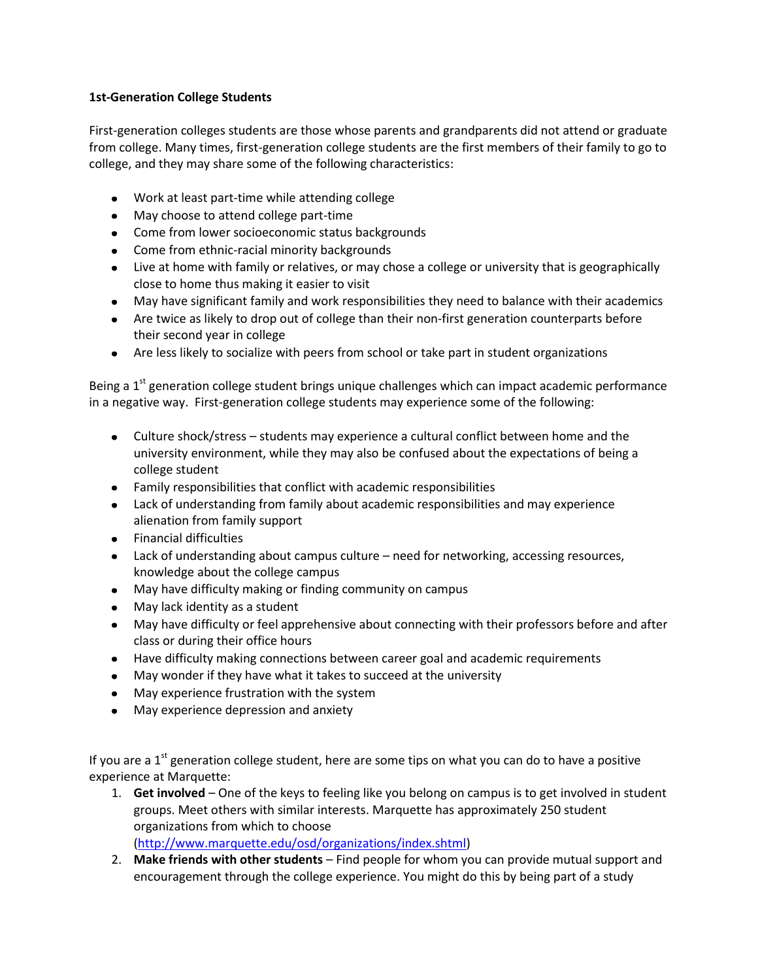## **1st-Generation College Students**

First-generation colleges students are those whose parents and grandparents did not attend or graduate from college. Many times, first-generation college students are the first members of their family to go to college, and they may share some of the following characteristics:

- Work at least part-time while attending college
- May choose to attend college part-time
- Come from lower socioeconomic status backgrounds
- Come from ethnic-racial minority backgrounds
- Live at home with family or relatives, or may chose a college or university that is geographically close to home thus making it easier to visit
- May have significant family and work responsibilities they need to balance with their academics
- Are twice as likely to drop out of college than their non-first generation counterparts before their second year in college
- Are less likely to socialize with peers from school or take part in student organizations

Being a 1<sup>st</sup> generation college student brings unique challenges which can impact academic performance in a negative way. First-generation college students may experience some of the following:

- Culture shock/stress students may experience a cultural conflict between home and the university environment, while they may also be confused about the expectations of being a college student
- Family responsibilities that conflict with academic responsibilities
- Lack of understanding from family about academic responsibilities and may experience alienation from family support
- Financial difficulties
- Lack of understanding about campus culture need for networking, accessing resources, knowledge about the college campus
- May have difficulty making or finding community on campus
- May lack identity as a student
- May have difficulty or feel apprehensive about connecting with their professors before and after class or during their office hours
- Have difficulty making connections between career goal and academic requirements
- May wonder if they have what it takes to succeed at the university
- May experience frustration with the system
- May experience depression and anxiety

If you are a  $1<sup>st</sup>$  generation college student, here are some tips on what you can do to have a positive experience at Marquette:

- 1. **Get involved** One of the keys to feeling like you belong on campus is to get involved in student groups. Meet others with similar interests. Marquette has approximately 250 student organizations from which to choose [\(http://www.marquette.edu/osd/organizations/index.shtml\)](http://www.marquette.edu/osd/organizations/index.shtml)
- 2. **Make friends with other students** Find people for whom you can provide mutual support and encouragement through the college experience. You might do this by being part of a study